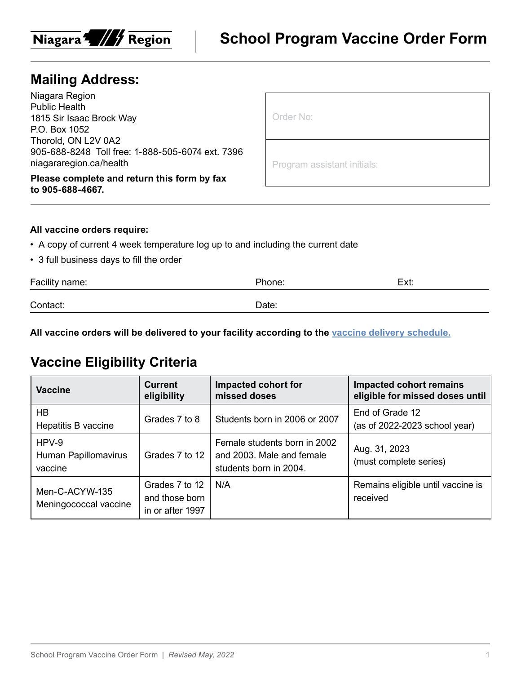

### **Mailing Address:**

Niagara Region Public Health 1815 Sir Isaac Brock Way P.O. Box 1052 Thorold, ON L2V 0A2 905-688-8248 Toll free: 1-888-505-6074 ext. 7396 niagararegion.ca/health

**Please complete and return this form by fax to 905-688-4667.**

Program assistant initials:

#### **All vaccine orders require:**

- A copy of current 4 week temperature log up to and including the current date
- 3 full business days to fill the order

| Facility name: | Phone: | Ext: |
|----------------|--------|------|
| Contact:       | Date:  |      |

**All vaccine orders will be delivered to your facility according to the [vaccine delivery schedule.](https://www.niagararegion.ca/health/professionals/vaccine/vaccine-schedule.aspx)**

# **Vaccine Eligibility Criteria**

| <b>Vaccine</b>                             | <b>Current</b><br>eligibility                        | Impacted cohort for<br>missed doses                                                 | <b>Impacted cohort remains</b><br>eligible for missed doses until |
|--------------------------------------------|------------------------------------------------------|-------------------------------------------------------------------------------------|-------------------------------------------------------------------|
| HB<br>Hepatitis B vaccine                  | Grades 7 to 8                                        | Students born in 2006 or 2007                                                       | End of Grade 12<br>(as of $2022-2023$ school year)                |
| $HPV-9$<br>Human Papillomavirus<br>vaccine | Grades 7 to 12                                       | Female students born in 2002<br>and 2003. Male and female<br>students born in 2004. | Aug. 31, 2023<br>(must complete series)                           |
| Men-C-ACYW-135<br>Meningococcal vaccine    | Grades 7 to 12<br>and those born<br>in or after 1997 | N/A                                                                                 | Remains eligible until vaccine is<br>received                     |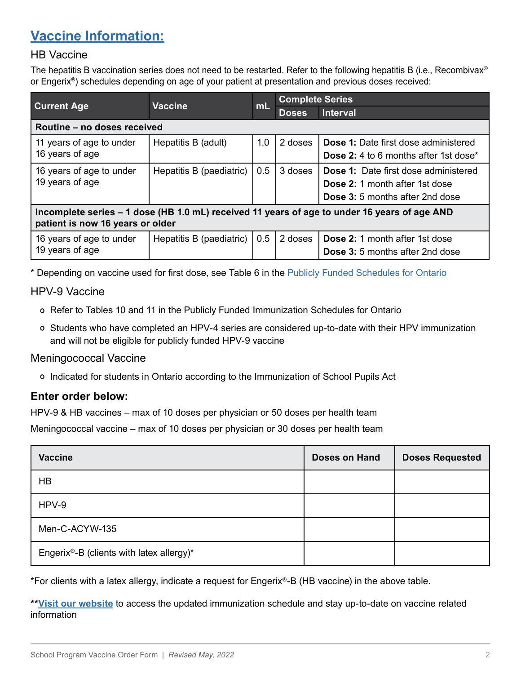# **[Vaccine Information:](https://www.health.gov.on.ca/en/pro/programs/immunization/docs/Publicly_Funded_ImmunizationSchedule.pdf)**

### HB Vaccine

The hepatitis B vaccination series does not need to be restarted. Refer to the following hepatitis B (i.e., Recombivax® or Engerix®) schedules depending on age of your patient at presentation and previous doses received:

|                                                                                                                                  |                          | mL  | <b>Complete Series</b> |                                                          |  |
|----------------------------------------------------------------------------------------------------------------------------------|--------------------------|-----|------------------------|----------------------------------------------------------|--|
| <b>Current Age</b>                                                                                                               | <b>Vaccine</b>           |     | <b>Doses</b>           | <b>Interval</b>                                          |  |
| Routine - no doses received                                                                                                      |                          |     |                        |                                                          |  |
| 11 years of age to under                                                                                                         | Hepatitis B (adult)      | 1.0 | 2 doses                | <b>Dose 1:</b> Date first dose administered              |  |
| 16 years of age                                                                                                                  |                          |     |                        | <b>Dose 2:</b> 4 to 6 months after 1st dose <sup>*</sup> |  |
| 16 years of age to under                                                                                                         | Hepatitis B (paediatric) | 0.5 | 3 doses                | <b>Dose 1:</b> Date first dose administered              |  |
| 19 years of age                                                                                                                  |                          |     |                        | <b>Dose 2: 1 month after 1st dose</b>                    |  |
|                                                                                                                                  |                          |     |                        | <b>Dose 3:</b> 5 months after 2nd dose                   |  |
| Incomplete series – 1 dose (HB 1.0 mL) received 11 years of age to under 16 years of age AND<br>patient is now 16 years or older |                          |     |                        |                                                          |  |
| 16 years of age to under                                                                                                         | Hepatitis B (paediatric) | 0.5 | 2 doses                | <b>Dose 2:</b> 1 month after 1st dose                    |  |
| 19 years of age                                                                                                                  |                          |     |                        | <b>Dose 3:</b> 5 months after 2nd dose                   |  |

\* Depending on vaccine used for first dose, see Table 6 in the [Publicly Funded Schedules for Ontario](https://www.health.gov.on.ca/en/pro/programs/immunization/docs/Publicly_Funded_ImmunizationSchedule.pdf)

### HPV-9 Vaccine

- º Refer to Tables 10 and 11 in the Publicly Funded Immunization Schedules for Ontario
- º Students who have completed an HPV-4 series are considered up-to-date with their HPV immunization and will not be eligible for publicly funded HPV-9 vaccine

#### Meningococcal Vaccine

º Indicated for students in Ontario according to the Immunization of School Pupils Act

### **Enter order below:**

HPV-9 & HB vaccines – max of 10 doses per physician or 50 doses per health team

Meningococcal vaccine – max of 10 doses per physician or 30 doses per health team

| <b>Vaccine</b>                           | <b>Doses on Hand</b> | <b>Doses Requested</b> |
|------------------------------------------|----------------------|------------------------|
| HB                                       |                      |                        |
| HPV-9                                    |                      |                        |
| Men-C-ACYW-135                           |                      |                        |
| Engerix®-B (clients with latex allergy)* |                      |                        |

\*For clients with a latex allergy, indicate a request for Engerix®-B (HB vaccine) in the above table.

**[\\*\\*Visit our website](https://www.niagararegion.ca/health/professionals/vaccine/default.aspx)** to access the updated immunization schedule and stay up-to-date on vaccine related information